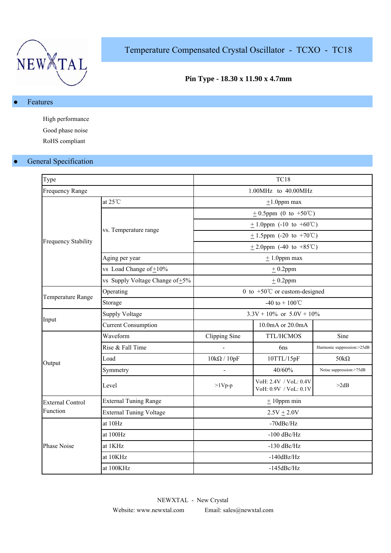

Temperature Compensated Crystal Oscillator - TCXO - TC18

## **Pin Type - 18.30 x 11.90 x 4.7mm**

## Features

High performance Good phase noise RoHS compliant

## **•** General Specification

| Type                       |                                      | <b>TC18</b>                    |                                                |                            |  |  |  |
|----------------------------|--------------------------------------|--------------------------------|------------------------------------------------|----------------------------|--|--|--|
| Frequency Range            |                                      |                                | 1.00MHz to 40.00MHz                            |                            |  |  |  |
|                            | at $25^{\circ}$ C                    | $\pm 1.0$ ppm max              |                                                |                            |  |  |  |
|                            |                                      | $\pm$ 0.5ppm (0 to +50°C)      |                                                |                            |  |  |  |
|                            |                                      |                                | $\pm$ 1.0ppm (-10 to +60°C)                    |                            |  |  |  |
| <b>Frequency Stability</b> | vs. Temperature range                |                                | $\pm$ 1.5ppm (-20 to +70°C)                    |                            |  |  |  |
|                            |                                      |                                | $\pm$ 2.0ppm (-40 to +85°C)                    |                            |  |  |  |
|                            | Aging per year                       |                                | $± 1.0$ ppm max                                |                            |  |  |  |
|                            | vs Load Change of $\pm 10\%$         |                                | $± 0.2$ ppm                                    |                            |  |  |  |
|                            | vs Supply Voltage Change of $\pm$ 5% |                                | $± 0.2$ ppm                                    |                            |  |  |  |
|                            | Operating                            |                                | 0 to $+50^{\circ}$ C or custom-designed        |                            |  |  |  |
| Temperature Range          | Storage                              | -40 to + $100^{\circ}$ C       |                                                |                            |  |  |  |
|                            | <b>Supply Voltage</b>                | $3.3V + 10\%$ or $5.0V + 10\%$ |                                                |                            |  |  |  |
| Input                      | <b>Current Consumption</b>           |                                | 10.0mA or 20.0mA                               |                            |  |  |  |
|                            | Waveform                             | Clipping Sine                  | TTL/HCMOS                                      | Sine                       |  |  |  |
|                            | Rise & Fall Time                     |                                | 6ns                                            | Harmonic suppression:>25dB |  |  |  |
| Output                     | Load                                 | $10k\Omega / 10pF$             | 10TTL/15pF                                     | $50k\Omega$                |  |  |  |
|                            | Symmetry                             |                                | 40/60%                                         | Noise suppression:>75dB    |  |  |  |
|                            | Level                                | $>1Vp-p$                       | VoH: 2.4V / VoL: 0.4V<br>VoH: 0.9V / VoL: 0.1V | >2dB                       |  |  |  |
| <b>External Control</b>    | <b>External Tuning Range</b>         | $±$ 10ppm min                  |                                                |                            |  |  |  |
| Function                   | <b>External Tuning Voltage</b>       | $2.5V \pm 2.0V$                |                                                |                            |  |  |  |
|                            | at 10Hz                              | $-70$ d $Be/Hz$                |                                                |                            |  |  |  |
|                            | at 100Hz                             | $-100$ dBc/Hz                  |                                                |                            |  |  |  |
| Phase Noise                | at 1KHz                              | $-130$ dBc/Hz                  |                                                |                            |  |  |  |
|                            | at 10KHz                             | $-140dBz/Hz$                   |                                                |                            |  |  |  |
|                            | at 100KHz                            | $-145$ dBc/Hz                  |                                                |                            |  |  |  |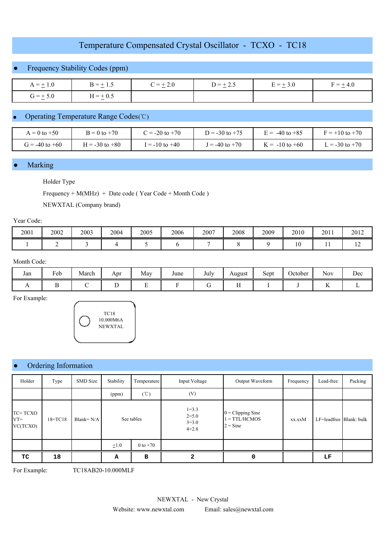# Temperature Compensated Crystal Oscillator - TCXO - TC18

## Frequency Stability Codes (ppm)

| $A = \pm 1.0$ | $B = \pm 1.5$ | $C = \pm 2.0$ | $D = \pm 2.5$ | $E = \pm 3.0$ | $\frac{4}{5} = \pm 4.0$<br>н. |
|---------------|---------------|---------------|---------------|---------------|-------------------------------|
| $G = \pm 5.0$ | $H = \pm 0.5$ |               |               |               |                               |

### ● Operating Temperature Range Codes (℃)

| $= 0$ to $+50$     | $B = 0$ to $+70$ | $\dot{c}$ = -20 to +70 | $D = -30$ to $+75$ | $\epsilon = -40$ to $+85$ | $F = +10$ to $+70$ |
|--------------------|------------------|------------------------|--------------------|---------------------------|--------------------|
| $T = -40$ to $+60$ | $= -30$ to $+80$ | $= -10$ to $+40$       | $I = -40$ to $+70$ | $K = -10$ to $+60$        | $= -30$ to $+70$   |

#### **Marking**

#### Holder Type

Frequency + M(MHz) + Date code ( Year Code + Month Code )

NEWXTAL (Company brand)

#### Year Code:

| 2001 | 2002 | 2003 | 2004 | 2005 | 2006 | 2007 | 2008 | 2009 | 2010              | 2011 | 2012 |
|------|------|------|------|------|------|------|------|------|-------------------|------|------|
|      |      |      |      |      |      |      |      |      | $\sqrt{ }$<br>1 V |      | 14   |

#### Month Code:

| Jan | $\mathbf{r}$<br>Feb<br>. . | ÷<br>March | Apr | May<br>$\sim$ | June | $\mathbf{r}$ 1<br>July | August | $\sim$<br>Sept | ∼<br>October | <b>A Y</b><br>Nov       | Dec<br>$ -$ |
|-----|----------------------------|------------|-----|---------------|------|------------------------|--------|----------------|--------------|-------------------------|-------------|
|     |                            |            |     |               |      |                        |        |                |              | $\overline{\mathbf{r}}$ |             |

For Example:



#### Ordering Information

| Holder                        | Type        | SMD Size     | Stability<br>Temperature |                 | Input Voltage                                  | Output Waveform                                             | Frequency | Lead-free               | Packing |
|-------------------------------|-------------|--------------|--------------------------|-----------------|------------------------------------------------|-------------------------------------------------------------|-----------|-------------------------|---------|
|                               |             |              | (ppm)                    | $(\mathcal{C})$ | (V)                                            |                                                             |           |                         |         |
| TC=TCXO<br>$VT =$<br>VC(TCXO) | $18 = TC18$ | Blank= $N/A$ | See tables               |                 | $1 = 3.3$<br>$2 = 5.0$<br>$3 = 3.0$<br>$4=2.8$ | $0 = \text{Clipping Sine}$<br>$1 = TTL/HCMOS$<br>$2 = Sine$ | XX.XX     | LF=leadfree Blank: bulk |         |
|                               |             |              | $\pm 1.0$                | $0$ to $+70$    |                                                |                                                             |           |                         |         |
| ТC                            | 18          |              | А                        | в               | 2                                              | 0                                                           |           | LF                      |         |

For Example: TC18AB20-10.000MLF